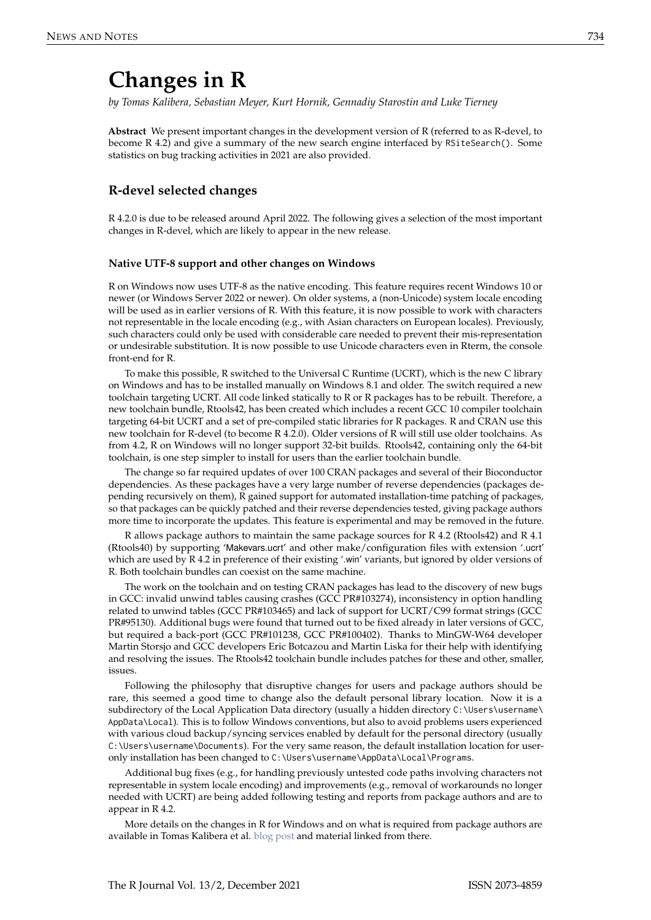# **Changes in R**

*by Tomas Kalibera, Sebastian Meyer, Kurt Hornik, Gennadiy Starostin and Luke Tierney*

**Abstract** We present important changes in the development version of R (referred to as R-devel, to become R 4.2) and give a summary of the new search engine interfaced by RSiteSearch(). Some statistics on bug tracking activities in 2021 are also provided.

## **R-devel selected changes**

R 4.2.0 is due to be released around April 2022. The following gives a selection of the most important changes in R-devel, which are likely to appear in the new release.

#### **Native UTF-8 support and other changes on Windows**

R on Windows now uses UTF-8 as the native encoding. This feature requires recent Windows 10 or newer (or Windows Server 2022 or newer). On older systems, a (non-Unicode) system locale encoding will be used as in earlier versions of R. With this feature, it is now possible to work with characters not representable in the locale encoding (e.g., with Asian characters on European locales). Previously, such characters could only be used with considerable care needed to prevent their mis-representation or undesirable substitution. It is now possible to use Unicode characters even in Rterm, the console front-end for R.

To make this possible, R switched to the Universal C Runtime (UCRT), which is the new C library on Windows and has to be installed manually on Windows 8.1 and older. The switch required a new toolchain targeting UCRT. All code linked statically to R or R packages has to be rebuilt. Therefore, a new toolchain bundle, Rtools42, has been created which includes a recent GCC 10 compiler toolchain targeting 64-bit UCRT and a set of pre-compiled static libraries for R packages. R and CRAN use this new toolchain for R-devel (to become R 4.2.0). Older versions of R will still use older toolchains. As from 4.2, R on Windows will no longer support 32-bit builds. Rtools42, containing only the 64-bit toolchain, is one step simpler to install for users than the earlier toolchain bundle.

The change so far required updates of over 100 CRAN packages and several of their Bioconductor dependencies. As these packages have a very large number of reverse dependencies (packages depending recursively on them), R gained support for automated installation-time patching of packages, so that packages can be quickly patched and their reverse dependencies tested, giving package authors more time to incorporate the updates. This feature is experimental and may be removed in the future.

R allows package authors to maintain the same package sources for R 4.2 (Rtools42) and R 4.1 (Rtools40) by supporting 'Makevars.ucrt' and other make/configuration files with extension '.ucrt' which are used by R 4.2 in preference of their existing '.win' variants, but ignored by older versions of R. Both toolchain bundles can coexist on the same machine.

The work on the toolchain and on testing CRAN packages has lead to the discovery of new bugs in GCC: invalid unwind tables causing crashes (GCC PR#103274), inconsistency in option handling related to unwind tables (GCC PR#103465) and lack of support for UCRT/C99 format strings (GCC PR#95130). Additional bugs were found that turned out to be fixed already in later versions of GCC, but required a back-port (GCC PR#101238, GCC PR#100402). Thanks to MinGW-W64 developer Martin Storsjo and GCC developers Eric Botcazou and Martin Liska for their help with identifying and resolving the issues. The Rtools42 toolchain bundle includes patches for these and other, smaller, issues.

Following the philosophy that disruptive changes for users and package authors should be rare, this seemed a good time to change also the default personal library location. Now it is a subdirectory of the Local Application Data directory (usually a hidden directory C: \Users\username\ AppData\Local). This is to follow Windows conventions, but also to avoid problems users experienced with various cloud backup/syncing services enabled by default for the personal directory (usually C:\Users\username\Documents). For the very same reason, the default installation location for useronly installation has been changed to C:\Users\username\AppData\Local\Programs.

Additional bug fixes (e.g., for handling previously untested code paths involving characters not representable in system locale encoding) and improvements (e.g., removal of workarounds no longer needed with UCRT) are being added following testing and reports from package authors and are to appear in R 4.2.

More details on the changes in R for Windows and on what is required from package authors are available in Tomas Kalibera et al. [blog post](https://developer.r-project.org/Blog/public/2021/12/07/upcoming-changes-in-r-4.2-on-windows) and material linked from there.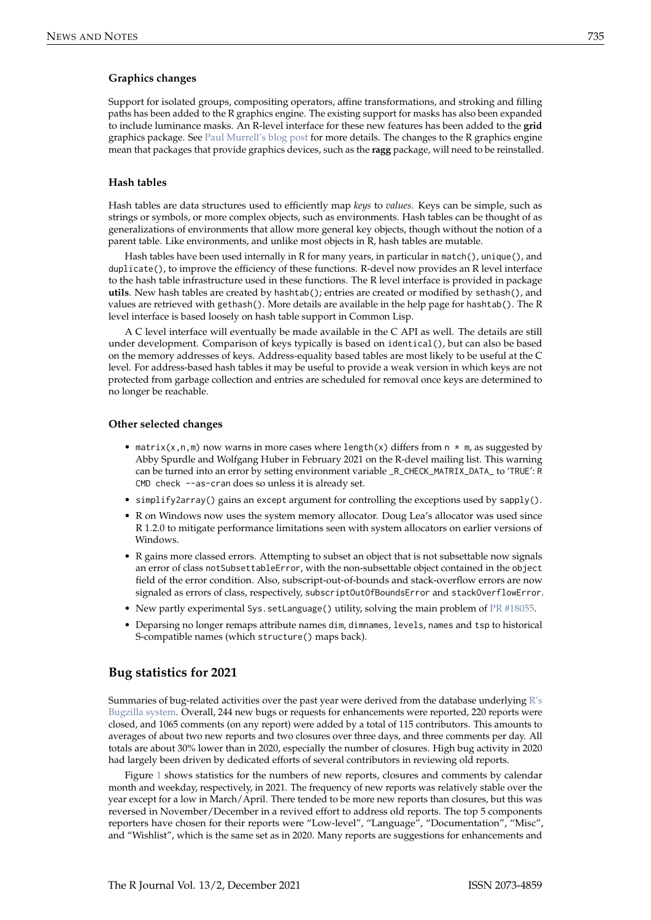#### **Graphics changes**

Support for isolated groups, compositing operators, affine transformations, and stroking and filling paths has been added to the R graphics engine. The existing support for masks has also been expanded to include luminance masks. An R-level interface for these new features has been added to the **grid** graphics package. See [Paul Murrell's blog post](https://developer.r-project.org/Blog/public/2021/12/06/groups-and-paths-and-masks-in-r-graphics/index.html) for more details. The changes to the R graphics engine mean that packages that provide graphics devices, such as the **ragg** package, will need to be reinstalled.

#### **Hash tables**

Hash tables are data structures used to efficiently map *keys* to *values*. Keys can be simple, such as strings or symbols, or more complex objects, such as environments. Hash tables can be thought of as generalizations of environments that allow more general key objects, though without the notion of a parent table. Like environments, and unlike most objects in R, hash tables are mutable.

Hash tables have been used internally in R for many years, in particular in match(), unique(), and duplicate(), to improve the efficiency of these functions. R-devel now provides an R level interface to the hash table infrastructure used in these functions. The R level interface is provided in package **utils**. New hash tables are created by hashtab(); entries are created or modified by sethash(), and values are retrieved with gethash(). More details are available in the help page for hashtab(). The R level interface is based loosely on hash table support in Common Lisp.

A C level interface will eventually be made available in the C API as well. The details are still under development. Comparison of keys typically is based on identical(), but can also be based on the memory addresses of keys. Address-equality based tables are most likely to be useful at the C level. For address-based hash tables it may be useful to provide a weak version in which keys are not protected from garbage collection and entries are scheduled for removal once keys are determined to no longer be reachable.

#### **Other selected changes**

- matrix(x,n,m) now warns in more cases where length(x) differs from  $n \times m$ , as suggested by Abby Spurdle and Wolfgang Huber in February 2021 on the R-devel mailing list. This warning can be turned into an error by setting environment variable \_R\_CHECK\_MATRIX\_DATA\_ to 'TRUE': R CMD check --as-cran does so unless it is already set.
- simplify2array() gains an except argument for controlling the exceptions used by sapply().
- R on Windows now uses the system memory allocator. Doug Lea's allocator was used since R 1.2.0 to mitigate performance limitations seen with system allocators on earlier versions of Windows.
- R gains more classed errors. Attempting to subset an object that is not subsettable now signals an error of class notSubsettableError, with the non-subsettable object contained in the object field of the error condition. Also, subscript-out-of-bounds and stack-overflow errors are now signaled as errors of class, respectively, subscriptOutOfBoundsError and stackOverflowError.
- New partly experimental Sys.setLanguage() utility, solving the main problem of [PR #18055.](https://bugs.r-project.org/show_bug.cgi?id=18055)
- Deparsing no longer remaps attribute names dim, dimnames, levels, names and tsp to historical S-compatible names (which structure() maps back).

## **Bug statistics for 2021**

Summaries of bug-related activities over the past year were derived from the database underlying  $R's$ [Bugzilla system.](https://bugs.R-project.org/) Overall, 244 new bugs or requests for enhancements were reported, 220 reports were closed, and 1065 comments (on any report) were added by a total of 115 contributors. This amounts to averages of about two new reports and two closures over three days, and three comments per day. All totals are about 30% lower than in 2020, especially the number of closures. High bug activity in 2020 had largely been driven by dedicated efforts of several contributors in reviewing old reports.

Figure [1](#page-2-0) shows statistics for the numbers of new reports, closures and comments by calendar month and weekday, respectively, in 2021. The frequency of new reports was relatively stable over the year except for a low in March/April. There tended to be more new reports than closures, but this was reversed in November/December in a revived effort to address old reports. The top 5 components reporters have chosen for their reports were "Low-level", "Language", "Documentation", "Misc", and "Wishlist", which is the same set as in 2020. Many reports are suggestions for enhancements and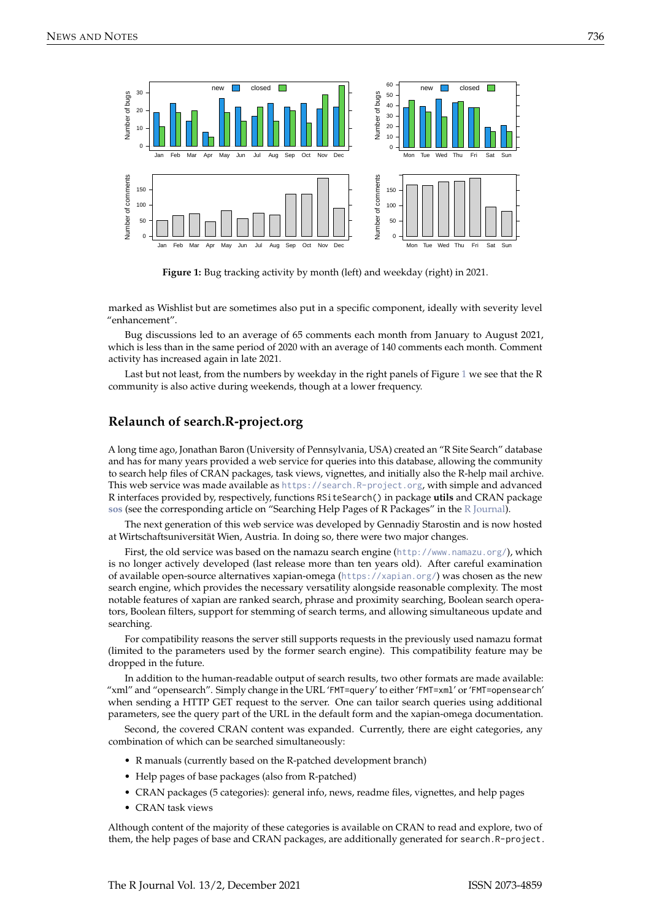<span id="page-2-0"></span>

**Figure 1:** Bug tracking activity by month (left) and weekday (right) in 2021.

marked as Wishlist but are sometimes also put in a specific component, ideally with severity level "enhancement".

Bug discussions led to an average of 65 comments each month from January to August 2021, which is less than in the same period of 2020 with an average of 140 comments each month. Comment activity has increased again in late 2021.

Last but not least, from the numbers by weekday in the right panels of Figure [1](#page-2-0) we see that the R community is also active during weekends, though at a lower frequency.

## **Relaunch of search.R-project.org**

A long time ago, Jonathan Baron (University of Pennsylvania, USA) created an "R Site Search" database and has for many years provided a web service for queries into this database, allowing the community to search help files of CRAN packages, task views, vignettes, and initially also the R-help mail archive. This web service was made available as <https://search.R-project.org>, with simple and advanced R interfaces provided by, respectively, functions RSiteSearch() in package **utils** and CRAN package **[sos](https://CRAN.R-project.org/package=sos)** (see the corresponding article on "Searching Help Pages of R Packages" in the [R Journal\)](https://journal.r-project.org/archive/2009/RJ-2009-017/index.html).

The next generation of this web service was developed by Gennadiy Starostin and is now hosted at Wirtschaftsuniversität Wien, Austria. In doing so, there were two major changes.

First, the old service was based on the namazu search engine (<http://www.namazu.org/>), which is no longer actively developed (last release more than ten years old). After careful examination of available open-source alternatives xapian-omega (<https://xapian.org/>) was chosen as the new search engine, which provides the necessary versatility alongside reasonable complexity. The most notable features of xapian are ranked search, phrase and proximity searching, Boolean search operators, Boolean filters, support for stemming of search terms, and allowing simultaneous update and searching.

For compatibility reasons the server still supports requests in the previously used namazu format (limited to the parameters used by the former search engine). This compatibility feature may be dropped in the future.

In addition to the human-readable output of search results, two other formats are made available: "xml" and "opensearch". Simply change in the URL 'FMT=query' to either 'FMT=xml' or 'FMT=opensearch' when sending a HTTP GET request to the server. One can tailor search queries using additional parameters, see the query part of the URL in the default form and the xapian-omega documentation.

Second, the covered CRAN content was expanded. Currently, there are eight categories, any combination of which can be searched simultaneously:

- R manuals (currently based on the R-patched development branch)
- Help pages of base packages (also from R-patched)
- CRAN packages (5 categories): general info, news, readme files, vignettes, and help pages
- CRAN task views

Although content of the majority of these categories is available on CRAN to read and explore, two of them, the help pages of base and CRAN packages, are additionally generated for search.R-project.